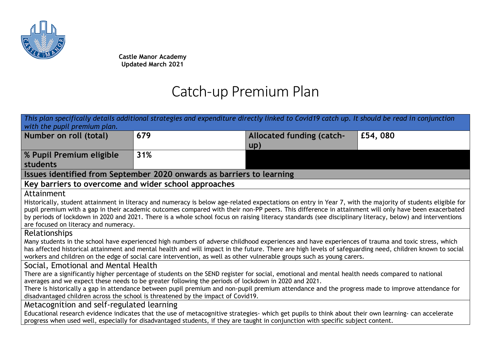

**Castle Manor Academy Updated March 2021**

## Catch-up Premium Plan

| This plan specifically details additional strategies and expenditure directly linked to Covid19 catch up. It should be read in conjunction                                                                                                                                                                    |     |                                                                                                                                                     |         |  |  |  |
|---------------------------------------------------------------------------------------------------------------------------------------------------------------------------------------------------------------------------------------------------------------------------------------------------------------|-----|-----------------------------------------------------------------------------------------------------------------------------------------------------|---------|--|--|--|
| with the pupil premium plan.                                                                                                                                                                                                                                                                                  |     |                                                                                                                                                     |         |  |  |  |
| Number on roll (total)                                                                                                                                                                                                                                                                                        | 679 | Allocated funding (catch-                                                                                                                           | £54,080 |  |  |  |
|                                                                                                                                                                                                                                                                                                               |     | up)                                                                                                                                                 |         |  |  |  |
| % Pupil Premium eligible                                                                                                                                                                                                                                                                                      | 31% |                                                                                                                                                     |         |  |  |  |
| students                                                                                                                                                                                                                                                                                                      |     |                                                                                                                                                     |         |  |  |  |
| Issues identified from September 2020 onwards as barriers to learning                                                                                                                                                                                                                                         |     |                                                                                                                                                     |         |  |  |  |
| Key barriers to overcome and wider school approaches                                                                                                                                                                                                                                                          |     |                                                                                                                                                     |         |  |  |  |
| Attainment                                                                                                                                                                                                                                                                                                    |     |                                                                                                                                                     |         |  |  |  |
| Historically, student attainment in literacy and numeracy is below age-related expectations on entry in Year 7, with the majority of students eligible for                                                                                                                                                    |     |                                                                                                                                                     |         |  |  |  |
|                                                                                                                                                                                                                                                                                                               |     | pupil premium with a gap in their academic outcomes compared with their non-PP peers. This difference in attainment will only have been exacerbated |         |  |  |  |
| by periods of lockdown in 2020 and 2021. There is a whole school focus on raising literacy standards (see disciplinary literacy, below) and interventions                                                                                                                                                     |     |                                                                                                                                                     |         |  |  |  |
| are focused on literacy and numeracy.                                                                                                                                                                                                                                                                         |     |                                                                                                                                                     |         |  |  |  |
| <b>Relationships</b>                                                                                                                                                                                                                                                                                          |     |                                                                                                                                                     |         |  |  |  |
| Many students in the school have experienced high numbers of adverse childhood experiences and have experiences of trauma and toxic stress, which<br>has affected historical attainment and mental health and will impact in the future. There are high levels of safeguarding need, children known to social |     |                                                                                                                                                     |         |  |  |  |
| workers and children on the edge of social care intervention, as well as other vulnerable groups such as young carers.                                                                                                                                                                                        |     |                                                                                                                                                     |         |  |  |  |
| Social, Emotional and Mental Health                                                                                                                                                                                                                                                                           |     |                                                                                                                                                     |         |  |  |  |
| There are a significantly higher percentage of students on the SEND register for social, emotional and mental health needs compared to national                                                                                                                                                               |     |                                                                                                                                                     |         |  |  |  |
| averages and we expect these needs to be greater following the periods of lockdown in 2020 and 2021.                                                                                                                                                                                                          |     |                                                                                                                                                     |         |  |  |  |
| There is historically a gap in attendance between pupil premium and non-pupil premium attendance and the progress made to improve attendance for                                                                                                                                                              |     |                                                                                                                                                     |         |  |  |  |
| disadvantaged children across the school is threatened by the impact of Covid19.                                                                                                                                                                                                                              |     |                                                                                                                                                     |         |  |  |  |
| Metacognition and self-regulated learning                                                                                                                                                                                                                                                                     |     |                                                                                                                                                     |         |  |  |  |
| Educational research evidence indicates that the use of metacognitive strategies- which get pupils to think about their own learning- can accelerate                                                                                                                                                          |     |                                                                                                                                                     |         |  |  |  |
| progress when used well, especially for disadvantaged students, if they are taught in conjunction with specific subject content.                                                                                                                                                                              |     |                                                                                                                                                     |         |  |  |  |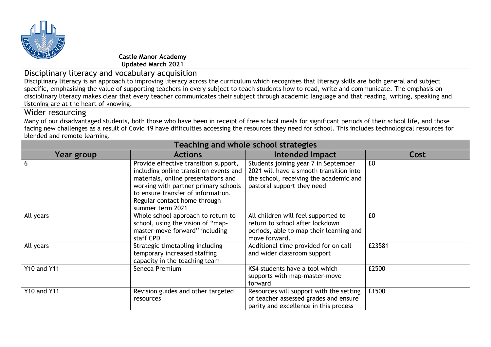

**Castle Manor Academy Updated March 2021**

Disciplinary literacy and vocabulary acquisition

Disciplinary literacy is an approach to improving literacy across the curriculum which recognises that literacy skills are both general and subject specific, emphasising the value of supporting teachers in every subject to teach students how to read, write and communicate. The emphasis on disciplinary literacy makes clear that every teacher communicates their subject through academic language and that reading, writing, speaking and listening are at the heart of knowing.

## Wider resourcing

Many of our disadvantaged students, both those who have been in receipt of free school meals for significant periods of their school life, and those facing new challenges as a result of Covid 19 have difficulties accessing the resources they need for school. This includes technological resources for blended and remote learning.

| Teaching and whole school strategies |                                                                                                                                                                                                                                                          |                                                                                                                                                         |        |  |  |  |
|--------------------------------------|----------------------------------------------------------------------------------------------------------------------------------------------------------------------------------------------------------------------------------------------------------|---------------------------------------------------------------------------------------------------------------------------------------------------------|--------|--|--|--|
| Year group                           | <b>Actions</b>                                                                                                                                                                                                                                           | Intended Impact                                                                                                                                         | Cost   |  |  |  |
| 6                                    | Provide effective transition support,<br>including online transition events and<br>materials, online presentations and<br>working with partner primary schools<br>to ensure transfer of information.<br>Regular contact home through<br>summer term 2021 | Students joining year 7 in September<br>2021 will have a smooth transition into<br>the school, receiving the academic and<br>pastoral support they need | £0     |  |  |  |
| All years                            | Whole school approach to return to<br>school, using the vision of "map-<br>master-move forward" including<br>staff CPD                                                                                                                                   | All children will feel supported to<br>return to school after lockdown<br>periods, able to map their learning and<br>move forward.                      | £0     |  |  |  |
| All years                            | Strategic timetabling including<br>temporary increased staffing<br>capacity in the teaching team                                                                                                                                                         | Additional time provided for on call<br>and wider classroom support                                                                                     | £23581 |  |  |  |
| <b>Y10 and Y11</b>                   | Seneca Premium                                                                                                                                                                                                                                           | KS4 students have a tool which<br>supports with map-master-move<br>forward                                                                              | £2500  |  |  |  |
| <b>Y10 and Y11</b>                   | Revision guides and other targeted<br>resources                                                                                                                                                                                                          | Resources will support with the setting<br>of teacher assessed grades and ensure<br>parity and excellence in this process                               | £1500  |  |  |  |